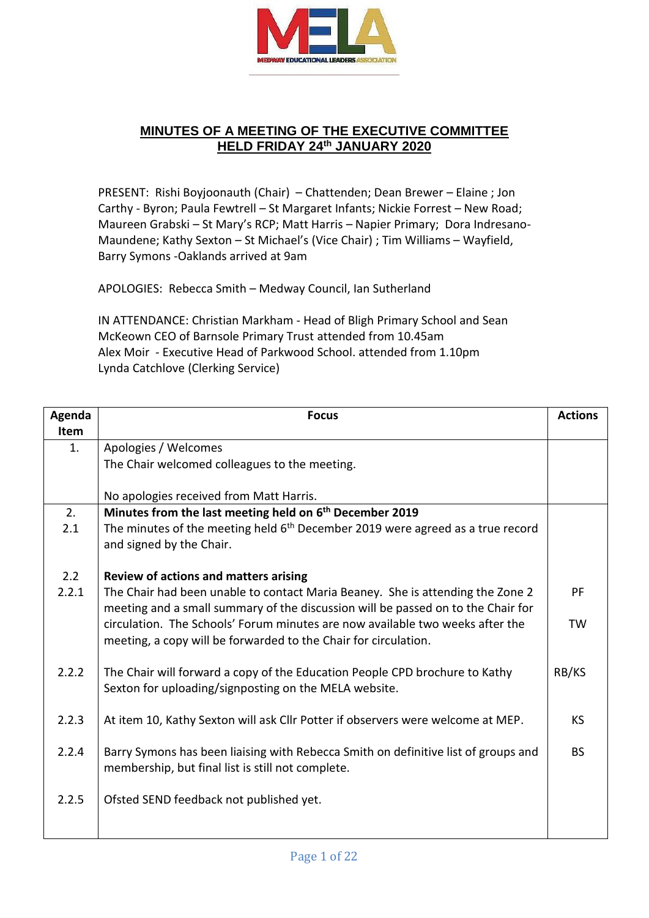

## **MINUTES OF A MEETING OF THE EXECUTIVE COMMITTEE HELD FRIDAY 24th JANUARY 2020**

PRESENT: Rishi Boyjoonauth (Chair) – Chattenden; Dean Brewer – Elaine ; Jon Carthy - Byron; Paula Fewtrell – St Margaret Infants; Nickie Forrest – New Road; Maureen Grabski – St Mary's RCP; Matt Harris – Napier Primary; Dora Indresano-Maundene; Kathy Sexton – St Michael's (Vice Chair) ; Tim Williams – Wayfield, Barry Symons -Oaklands arrived at 9am

APOLOGIES: Rebecca Smith – Medway Council, Ian Sutherland

IN ATTENDANCE: Christian Markham - Head of Bligh Primary School and Sean McKeown CEO of Barnsole Primary Trust attended from 10.45am Alex Moir - Executive Head of Parkwood School. attended from 1.10pm Lynda Catchlove (Clerking Service)

| Agenda | <b>Focus</b>                                                                               | <b>Actions</b> |
|--------|--------------------------------------------------------------------------------------------|----------------|
| Item   |                                                                                            |                |
| 1.     | Apologies / Welcomes                                                                       |                |
|        | The Chair welcomed colleagues to the meeting.                                              |                |
|        |                                                                                            |                |
|        | No apologies received from Matt Harris.                                                    |                |
| 2.     | Minutes from the last meeting held on 6 <sup>th</sup> December 2019                        |                |
| 2.1    | The minutes of the meeting held 6 <sup>th</sup> December 2019 were agreed as a true record |                |
|        | and signed by the Chair.                                                                   |                |
|        |                                                                                            |                |
| 2.2    | <b>Review of actions and matters arising</b>                                               |                |
| 2.2.1  | The Chair had been unable to contact Maria Beaney. She is attending the Zone 2             | <b>PF</b>      |
|        | meeting and a small summary of the discussion will be passed on to the Chair for           |                |
|        | circulation. The Schools' Forum minutes are now available two weeks after the              | <b>TW</b>      |
|        | meeting, a copy will be forwarded to the Chair for circulation.                            |                |
|        |                                                                                            |                |
| 2.2.2  | The Chair will forward a copy of the Education People CPD brochure to Kathy                | RB/KS          |
|        | Sexton for uploading/signposting on the MELA website.                                      |                |
|        |                                                                                            |                |
| 2.2.3  | At item 10, Kathy Sexton will ask Cllr Potter if observers were welcome at MEP.            | KS.            |
|        |                                                                                            |                |
| 2.2.4  | Barry Symons has been liaising with Rebecca Smith on definitive list of groups and         | <b>BS</b>      |
|        | membership, but final list is still not complete.                                          |                |
|        |                                                                                            |                |
| 2.2.5  | Ofsted SEND feedback not published yet.                                                    |                |
|        |                                                                                            |                |
|        |                                                                                            |                |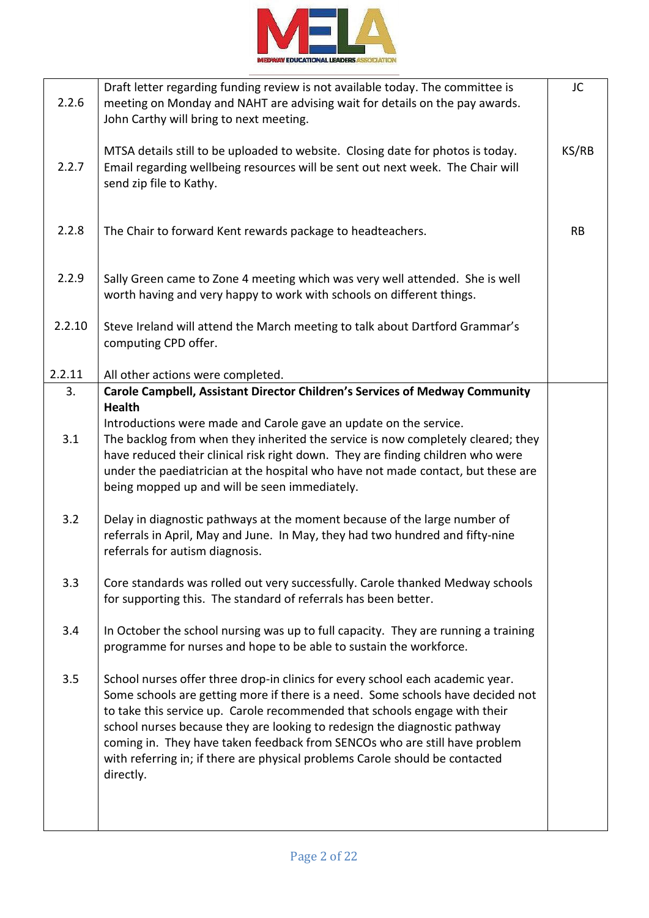

| 2.2.6     | Draft letter regarding funding review is not available today. The committee is<br>meeting on Monday and NAHT are advising wait for details on the pay awards.<br>John Carthy will bring to next meeting.                                                                                                                                                                                                                                                                                                | JC    |
|-----------|---------------------------------------------------------------------------------------------------------------------------------------------------------------------------------------------------------------------------------------------------------------------------------------------------------------------------------------------------------------------------------------------------------------------------------------------------------------------------------------------------------|-------|
| 2.2.7     | MTSA details still to be uploaded to website. Closing date for photos is today.<br>Email regarding wellbeing resources will be sent out next week. The Chair will<br>send zip file to Kathy.                                                                                                                                                                                                                                                                                                            | KS/RB |
| 2.2.8     | The Chair to forward Kent rewards package to headteachers.                                                                                                                                                                                                                                                                                                                                                                                                                                              | RB    |
| 2.2.9     | Sally Green came to Zone 4 meeting which was very well attended. She is well<br>worth having and very happy to work with schools on different things.                                                                                                                                                                                                                                                                                                                                                   |       |
| 2.2.10    | Steve Ireland will attend the March meeting to talk about Dartford Grammar's<br>computing CPD offer.                                                                                                                                                                                                                                                                                                                                                                                                    |       |
| 2.2.11    | All other actions were completed.                                                                                                                                                                                                                                                                                                                                                                                                                                                                       |       |
| 3.<br>3.1 | Carole Campbell, Assistant Director Children's Services of Medway Community<br><b>Health</b><br>Introductions were made and Carole gave an update on the service.<br>The backlog from when they inherited the service is now completely cleared; they<br>have reduced their clinical risk right down. They are finding children who were<br>under the paediatrician at the hospital who have not made contact, but these are<br>being mopped up and will be seen immediately.                           |       |
| 3.2       | Delay in diagnostic pathways at the moment because of the large number of<br>referrals in April, May and June. In May, they had two hundred and fifty-nine<br>referrals for autism diagnosis.                                                                                                                                                                                                                                                                                                           |       |
| 3.3       | Core standards was rolled out very successfully. Carole thanked Medway schools<br>for supporting this. The standard of referrals has been better.                                                                                                                                                                                                                                                                                                                                                       |       |
| 3.4       | In October the school nursing was up to full capacity. They are running a training<br>programme for nurses and hope to be able to sustain the workforce.                                                                                                                                                                                                                                                                                                                                                |       |
| 3.5       | School nurses offer three drop-in clinics for every school each academic year.<br>Some schools are getting more if there is a need. Some schools have decided not<br>to take this service up. Carole recommended that schools engage with their<br>school nurses because they are looking to redesign the diagnostic pathway<br>coming in. They have taken feedback from SENCOs who are still have problem<br>with referring in; if there are physical problems Carole should be contacted<br>directly. |       |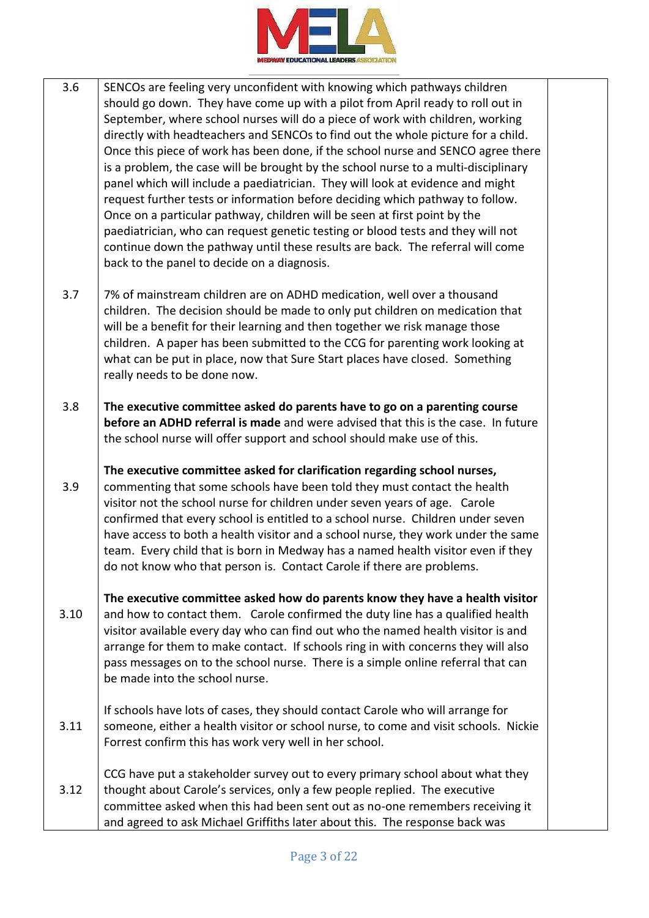

- 3.6 SENCOs are feeling very unconfident with knowing which pathways children should go down. They have come up with a pilot from April ready to roll out in September, where school nurses will do a piece of work with children, working directly with headteachers and SENCOs to find out the whole picture for a child. Once this piece of work has been done, if the school nurse and SENCO agree there is a problem, the case will be brought by the school nurse to a multi-disciplinary panel which will include a paediatrician. They will look at evidence and might request further tests or information before deciding which pathway to follow. Once on a particular pathway, children will be seen at first point by the paediatrician, who can request genetic testing or blood tests and they will not continue down the pathway until these results are back. The referral will come back to the panel to decide on a diagnosis.
- 3.7 7% of mainstream children are on ADHD medication, well over a thousand children. The decision should be made to only put children on medication that will be a benefit for their learning and then together we risk manage those children. A paper has been submitted to the CCG for parenting work looking at what can be put in place, now that Sure Start places have closed. Something really needs to be done now.
- 3.8 **The executive committee asked do parents have to go on a parenting course before an ADHD referral is made** and were advised that this is the case. In future the school nurse will offer support and school should make use of this.
- 3.9 **The executive committee asked for clarification regarding school nurses,**  commenting that some schools have been told they must contact the health visitor not the school nurse for children under seven years of age. Carole confirmed that every school is entitled to a school nurse. Children under seven have access to both a health visitor and a school nurse, they work under the same team. Every child that is born in Medway has a named health visitor even if they do not know who that person is. Contact Carole if there are problems.
- 3.10 **The executive committee asked how do parents know they have a health visitor** and how to contact them. Carole confirmed the duty line has a qualified health visitor available every day who can find out who the named health visitor is and arrange for them to make contact. If schools ring in with concerns they will also pass messages on to the school nurse. There is a simple online referral that can be made into the school nurse.
- 3.11 If schools have lots of cases, they should contact Carole who will arrange for someone, either a health visitor or school nurse, to come and visit schools. Nickie Forrest confirm this has work very well in her school.
- 3.12 CCG have put a stakeholder survey out to every primary school about what they thought about Carole's services, only a few people replied. The executive committee asked when this had been sent out as no-one remembers receiving it and agreed to ask Michael Griffiths later about this. The response back was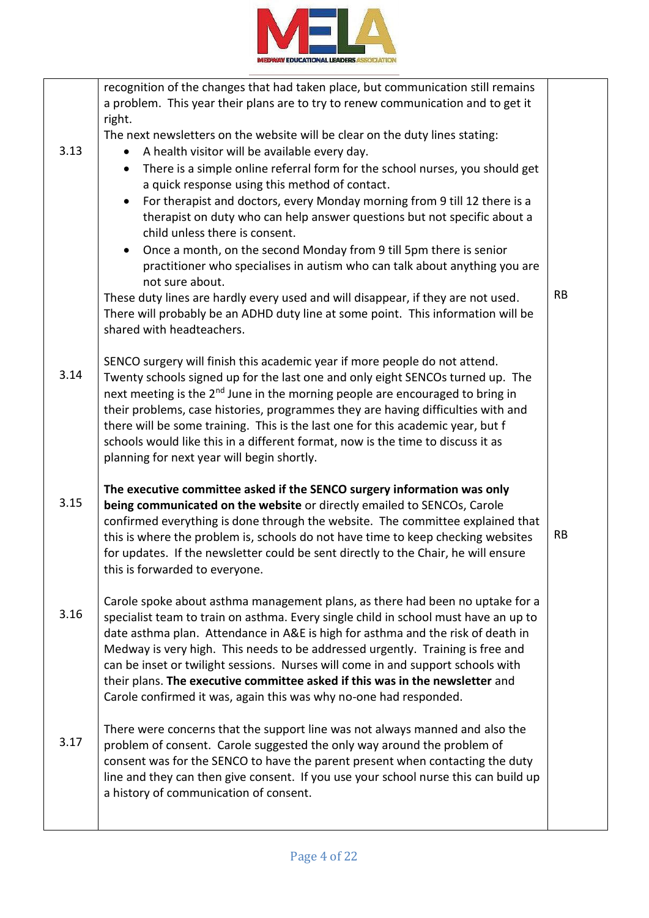

|      | recognition of the changes that had taken place, but communication still remains<br>a problem. This year their plans are to try to renew communication and to get it<br>right.<br>The next newsletters on the website will be clear on the duty lines stating: |           |
|------|----------------------------------------------------------------------------------------------------------------------------------------------------------------------------------------------------------------------------------------------------------------|-----------|
| 3.13 | A health visitor will be available every day.                                                                                                                                                                                                                  |           |
|      | There is a simple online referral form for the school nurses, you should get<br>$\bullet$                                                                                                                                                                      |           |
|      | a quick response using this method of contact.                                                                                                                                                                                                                 |           |
|      | For therapist and doctors, every Monday morning from 9 till 12 there is a<br>$\bullet$                                                                                                                                                                         |           |
|      | therapist on duty who can help answer questions but not specific about a                                                                                                                                                                                       |           |
|      | child unless there is consent.                                                                                                                                                                                                                                 |           |
|      | Once a month, on the second Monday from 9 till 5pm there is senior                                                                                                                                                                                             |           |
|      | practitioner who specialises in autism who can talk about anything you are                                                                                                                                                                                     |           |
|      | not sure about.                                                                                                                                                                                                                                                |           |
|      | These duty lines are hardly every used and will disappear, if they are not used.                                                                                                                                                                               | <b>RB</b> |
|      | There will probably be an ADHD duty line at some point. This information will be                                                                                                                                                                               |           |
|      | shared with headteachers.                                                                                                                                                                                                                                      |           |
| 3.14 | SENCO surgery will finish this academic year if more people do not attend.<br>Twenty schools signed up for the last one and only eight SENCOs turned up. The                                                                                                   |           |
|      | next meeting is the 2 <sup>nd</sup> June in the morning people are encouraged to bring in                                                                                                                                                                      |           |
|      | their problems, case histories, programmes they are having difficulties with and                                                                                                                                                                               |           |
|      | there will be some training. This is the last one for this academic year, but f                                                                                                                                                                                |           |
|      | schools would like this in a different format, now is the time to discuss it as                                                                                                                                                                                |           |
|      | planning for next year will begin shortly.                                                                                                                                                                                                                     |           |
|      | The executive committee asked if the SENCO surgery information was only                                                                                                                                                                                        |           |
| 3.15 | being communicated on the website or directly emailed to SENCOs, Carole                                                                                                                                                                                        |           |
|      | confirmed everything is done through the website. The committee explained that                                                                                                                                                                                 |           |
|      | this is where the problem is, schools do not have time to keep checking websites                                                                                                                                                                               | <b>RB</b> |
|      | for updates. If the newsletter could be sent directly to the Chair, he will ensure                                                                                                                                                                             |           |
|      | this is forwarded to everyone.                                                                                                                                                                                                                                 |           |
|      | Carole spoke about asthma management plans, as there had been no uptake for a                                                                                                                                                                                  |           |
| 3.16 | specialist team to train on asthma. Every single child in school must have an up to                                                                                                                                                                            |           |
|      | date asthma plan. Attendance in A&E is high for asthma and the risk of death in                                                                                                                                                                                |           |
|      | Medway is very high. This needs to be addressed urgently. Training is free and                                                                                                                                                                                 |           |
|      | can be inset or twilight sessions. Nurses will come in and support schools with<br>their plans. The executive committee asked if this was in the newsletter and                                                                                                |           |
|      | Carole confirmed it was, again this was why no-one had responded.                                                                                                                                                                                              |           |
|      |                                                                                                                                                                                                                                                                |           |
|      | There were concerns that the support line was not always manned and also the                                                                                                                                                                                   |           |
| 3.17 | problem of consent. Carole suggested the only way around the problem of                                                                                                                                                                                        |           |
|      | consent was for the SENCO to have the parent present when contacting the duty                                                                                                                                                                                  |           |
|      | line and they can then give consent. If you use your school nurse this can build up                                                                                                                                                                            |           |
|      | a history of communication of consent.                                                                                                                                                                                                                         |           |
|      |                                                                                                                                                                                                                                                                |           |
|      |                                                                                                                                                                                                                                                                |           |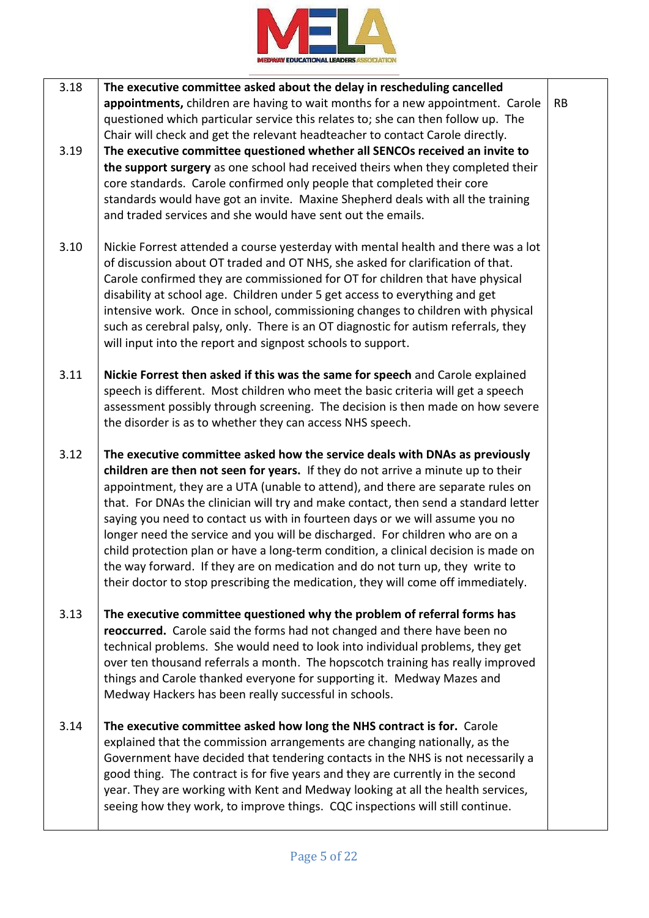

| 3.18 | The executive committee asked about the delay in rescheduling cancelled<br>appointments, children are having to wait months for a new appointment. Carole                                                                                                                                                                                                                                                                                                                                                                                                                                                                                                                                                                                                             | <b>RB</b> |
|------|-----------------------------------------------------------------------------------------------------------------------------------------------------------------------------------------------------------------------------------------------------------------------------------------------------------------------------------------------------------------------------------------------------------------------------------------------------------------------------------------------------------------------------------------------------------------------------------------------------------------------------------------------------------------------------------------------------------------------------------------------------------------------|-----------|
| 3.19 | questioned which particular service this relates to; she can then follow up. The<br>Chair will check and get the relevant headteacher to contact Carole directly.<br>The executive committee questioned whether all SENCOs received an invite to<br>the support surgery as one school had received theirs when they completed their<br>core standards. Carole confirmed only people that completed their core<br>standards would have got an invite. Maxine Shepherd deals with all the training<br>and traded services and she would have sent out the emails.                                                                                                                                                                                                       |           |
| 3.10 | Nickie Forrest attended a course yesterday with mental health and there was a lot<br>of discussion about OT traded and OT NHS, she asked for clarification of that.<br>Carole confirmed they are commissioned for OT for children that have physical<br>disability at school age. Children under 5 get access to everything and get<br>intensive work. Once in school, commissioning changes to children with physical<br>such as cerebral palsy, only. There is an OT diagnostic for autism referrals, they<br>will input into the report and signpost schools to support.                                                                                                                                                                                           |           |
| 3.11 | Nickie Forrest then asked if this was the same for speech and Carole explained<br>speech is different. Most children who meet the basic criteria will get a speech<br>assessment possibly through screening. The decision is then made on how severe<br>the disorder is as to whether they can access NHS speech.                                                                                                                                                                                                                                                                                                                                                                                                                                                     |           |
| 3.12 | The executive committee asked how the service deals with DNAs as previously<br>children are then not seen for years. If they do not arrive a minute up to their<br>appointment, they are a UTA (unable to attend), and there are separate rules on<br>that. For DNAs the clinician will try and make contact, then send a standard letter<br>saying you need to contact us with in fourteen days or we will assume you no<br>longer need the service and you will be discharged. For children who are on a<br>child protection plan or have a long-term condition, a clinical decision is made on<br>the way forward. If they are on medication and do not turn up, they write to<br>their doctor to stop prescribing the medication, they will come off immediately. |           |
| 3.13 | The executive committee questioned why the problem of referral forms has<br>reoccurred. Carole said the forms had not changed and there have been no<br>technical problems. She would need to look into individual problems, they get<br>over ten thousand referrals a month. The hopscotch training has really improved<br>things and Carole thanked everyone for supporting it. Medway Mazes and<br>Medway Hackers has been really successful in schools.                                                                                                                                                                                                                                                                                                           |           |
| 3.14 | The executive committee asked how long the NHS contract is for. Carole<br>explained that the commission arrangements are changing nationally, as the<br>Government have decided that tendering contacts in the NHS is not necessarily a<br>good thing. The contract is for five years and they are currently in the second<br>year. They are working with Kent and Medway looking at all the health services,<br>seeing how they work, to improve things. CQC inspections will still continue.                                                                                                                                                                                                                                                                        |           |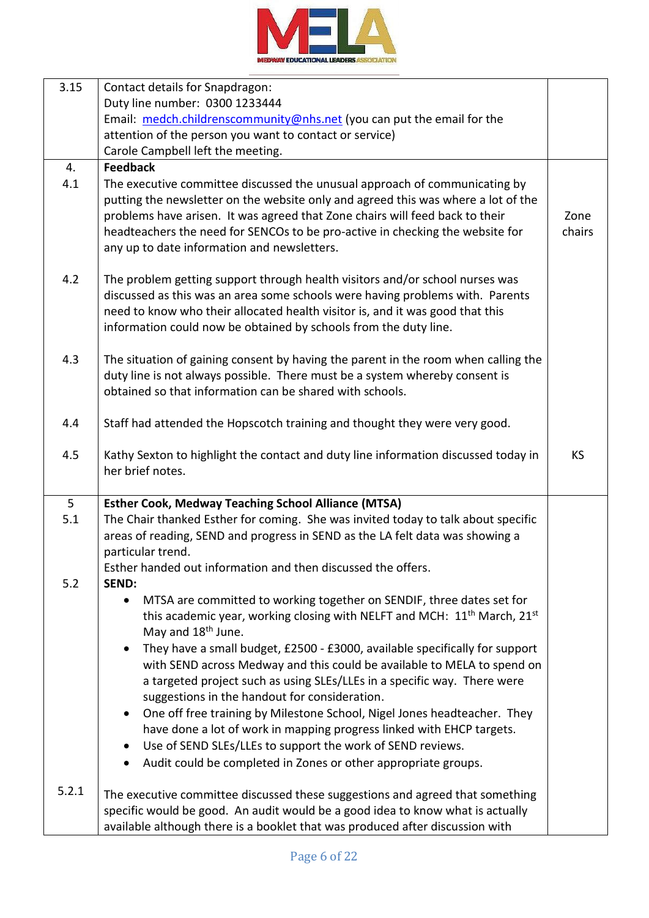

| 3.15  | Contact details for Snapdragon:                                                          |           |
|-------|------------------------------------------------------------------------------------------|-----------|
|       | Duty line number: 0300 1233444                                                           |           |
|       | Email: medch.childrenscommunity@nhs.net (you can put the email for the                   |           |
|       | attention of the person you want to contact or service)                                  |           |
|       | Carole Campbell left the meeting.                                                        |           |
| 4.    | <b>Feedback</b>                                                                          |           |
| 4.1   | The executive committee discussed the unusual approach of communicating by               |           |
|       | putting the newsletter on the website only and agreed this was where a lot of the        |           |
|       | problems have arisen. It was agreed that Zone chairs will feed back to their             | Zone      |
|       | headteachers the need for SENCOs to be pro-active in checking the website for            | chairs    |
|       | any up to date information and newsletters.                                              |           |
| 4.2   | The problem getting support through health visitors and/or school nurses was             |           |
|       | discussed as this was an area some schools were having problems with. Parents            |           |
|       | need to know who their allocated health visitor is, and it was good that this            |           |
|       | information could now be obtained by schools from the duty line.                         |           |
| 4.3   | The situation of gaining consent by having the parent in the room when calling the       |           |
|       | duty line is not always possible. There must be a system whereby consent is              |           |
|       | obtained so that information can be shared with schools.                                 |           |
|       |                                                                                          |           |
| 4.4   | Staff had attended the Hopscotch training and thought they were very good.               |           |
| 4.5   | Kathy Sexton to highlight the contact and duty line information discussed today in       | <b>KS</b> |
|       | her brief notes.                                                                         |           |
|       |                                                                                          |           |
| 5     | <b>Esther Cook, Medway Teaching School Alliance (MTSA)</b>                               |           |
| 5.1   | The Chair thanked Esther for coming. She was invited today to talk about specific        |           |
|       | areas of reading, SEND and progress in SEND as the LA felt data was showing a            |           |
|       | particular trend.                                                                        |           |
|       | Esther handed out information and then discussed the offers.                             |           |
| 5.2   | <b>SEND:</b>                                                                             |           |
|       | MTSA are committed to working together on SENDIF, three dates set for<br>$\bullet$       |           |
|       | this academic year, working closing with NELFT and MCH: $11th$ March, $21st$             |           |
|       | May and 18 <sup>th</sup> June.                                                           |           |
|       | They have a small budget, £2500 - £3000, available specifically for support<br>$\bullet$ |           |
|       | with SEND across Medway and this could be available to MELA to spend on                  |           |
|       | a targeted project such as using SLEs/LLEs in a specific way. There were                 |           |
|       | suggestions in the handout for consideration.                                            |           |
|       | One off free training by Milestone School, Nigel Jones headteacher. They<br>$\bullet$    |           |
|       | have done a lot of work in mapping progress linked with EHCP targets.                    |           |
|       | Use of SEND SLEs/LLEs to support the work of SEND reviews.<br>$\bullet$                  |           |
|       | Audit could be completed in Zones or other appropriate groups.                           |           |
| 5.2.1 | The executive committee discussed these suggestions and agreed that something            |           |
|       | specific would be good. An audit would be a good idea to know what is actually           |           |
|       | available although there is a booklet that was produced after discussion with            |           |
|       |                                                                                          |           |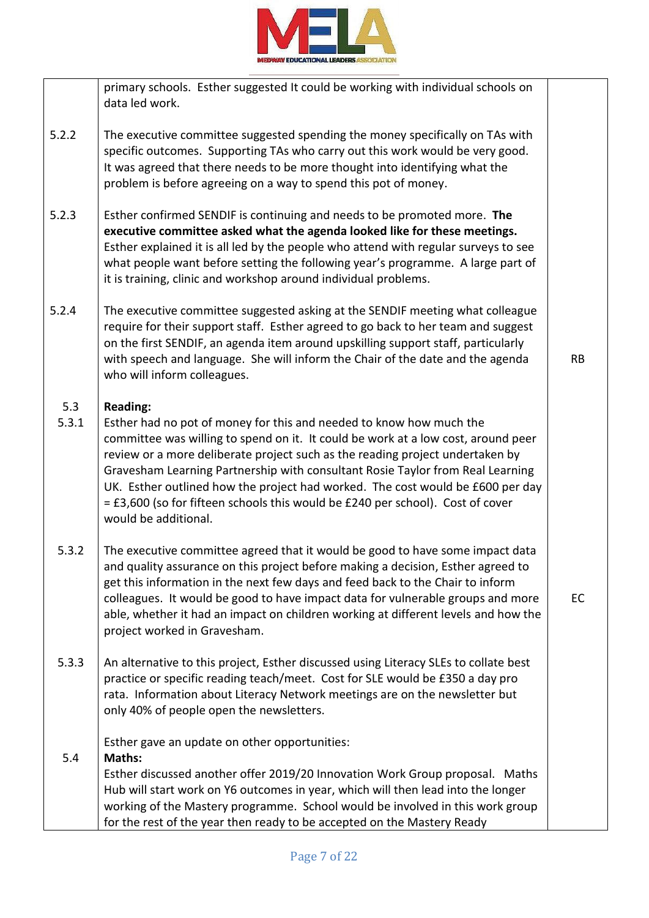

|              | primary schools. Esther suggested It could be working with individual schools on<br>data led work.                                                                                                                                                                                                                                                                                                                                                                                                                                         |           |
|--------------|--------------------------------------------------------------------------------------------------------------------------------------------------------------------------------------------------------------------------------------------------------------------------------------------------------------------------------------------------------------------------------------------------------------------------------------------------------------------------------------------------------------------------------------------|-----------|
| 5.2.2        | The executive committee suggested spending the money specifically on TAs with<br>specific outcomes. Supporting TAs who carry out this work would be very good.<br>It was agreed that there needs to be more thought into identifying what the<br>problem is before agreeing on a way to spend this pot of money.                                                                                                                                                                                                                           |           |
| 5.2.3        | Esther confirmed SENDIF is continuing and needs to be promoted more. The<br>executive committee asked what the agenda looked like for these meetings.<br>Esther explained it is all led by the people who attend with regular surveys to see<br>what people want before setting the following year's programme. A large part of<br>it is training, clinic and workshop around individual problems.                                                                                                                                         |           |
| 5.2.4        | The executive committee suggested asking at the SENDIF meeting what colleague<br>require for their support staff. Esther agreed to go back to her team and suggest<br>on the first SENDIF, an agenda item around upskilling support staff, particularly<br>with speech and language. She will inform the Chair of the date and the agenda<br>who will inform colleagues.                                                                                                                                                                   | <b>RB</b> |
| 5.3<br>5.3.1 | <b>Reading:</b><br>Esther had no pot of money for this and needed to know how much the<br>committee was willing to spend on it. It could be work at a low cost, around peer<br>review or a more deliberate project such as the reading project undertaken by<br>Gravesham Learning Partnership with consultant Rosie Taylor from Real Learning<br>UK. Esther outlined how the project had worked. The cost would be £600 per day<br>= £3,600 (so for fifteen schools this would be £240 per school). Cost of cover<br>would be additional. |           |
| 5.3.2        | The executive committee agreed that it would be good to have some impact data<br>and quality assurance on this project before making a decision, Esther agreed to<br>get this information in the next few days and feed back to the Chair to inform<br>colleagues. It would be good to have impact data for vulnerable groups and more<br>able, whether it had an impact on children working at different levels and how the<br>project worked in Gravesham.                                                                               | EC        |
| 5.3.3        | An alternative to this project, Esther discussed using Literacy SLEs to collate best<br>practice or specific reading teach/meet. Cost for SLE would be £350 a day pro<br>rata. Information about Literacy Network meetings are on the newsletter but<br>only 40% of people open the newsletters.                                                                                                                                                                                                                                           |           |
| 5.4          | Esther gave an update on other opportunities:<br>Maths:<br>Esther discussed another offer 2019/20 Innovation Work Group proposal. Maths<br>Hub will start work on Y6 outcomes in year, which will then lead into the longer<br>working of the Mastery programme. School would be involved in this work group<br>for the rest of the year then ready to be accepted on the Mastery Ready                                                                                                                                                    |           |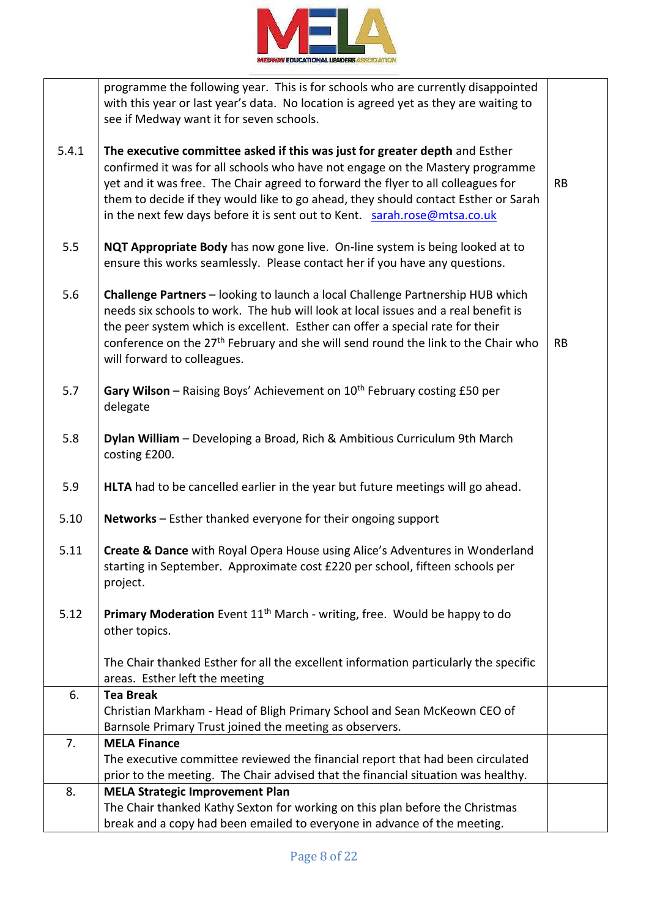

|       | programme the following year. This is for schools who are currently disappointed              |           |
|-------|-----------------------------------------------------------------------------------------------|-----------|
|       | with this year or last year's data. No location is agreed yet as they are waiting to          |           |
|       | see if Medway want it for seven schools.                                                      |           |
|       |                                                                                               |           |
| 5.4.1 | The executive committee asked if this was just for greater depth and Esther                   |           |
|       | confirmed it was for all schools who have not engage on the Mastery programme                 |           |
|       | yet and it was free. The Chair agreed to forward the flyer to all colleagues for              | <b>RB</b> |
|       | them to decide if they would like to go ahead, they should contact Esther or Sarah            |           |
|       |                                                                                               |           |
|       | in the next few days before it is sent out to Kent. sarah.rose@mtsa.co.uk                     |           |
|       |                                                                                               |           |
| 5.5   | NQT Appropriate Body has now gone live. On-line system is being looked at to                  |           |
|       | ensure this works seamlessly. Please contact her if you have any questions.                   |           |
|       |                                                                                               |           |
| 5.6   | Challenge Partners - looking to launch a local Challenge Partnership HUB which                |           |
|       | needs six schools to work. The hub will look at local issues and a real benefit is            |           |
|       | the peer system which is excellent. Esther can offer a special rate for their                 |           |
|       | conference on the 27 <sup>th</sup> February and she will send round the link to the Chair who | <b>RB</b> |
|       | will forward to colleagues.                                                                   |           |
|       |                                                                                               |           |
| 5.7   | Gary Wilson - Raising Boys' Achievement on 10 <sup>th</sup> February costing £50 per          |           |
|       | delegate                                                                                      |           |
|       |                                                                                               |           |
| 5.8   | Dylan William - Developing a Broad, Rich & Ambitious Curriculum 9th March                     |           |
|       | costing £200.                                                                                 |           |
|       |                                                                                               |           |
| 5.9   | HLTA had to be cancelled earlier in the year but future meetings will go ahead.               |           |
|       | Networks - Esther thanked everyone for their ongoing support                                  |           |
| 5.10  |                                                                                               |           |
| 5.11  | Create & Dance with Royal Opera House using Alice's Adventures in Wonderland                  |           |
|       |                                                                                               |           |
|       | starting in September. Approximate cost £220 per school, fifteen schools per                  |           |
|       | project.                                                                                      |           |
|       |                                                                                               |           |
| 5.12  | Primary Moderation Event 11 <sup>th</sup> March - writing, free. Would be happy to do         |           |
|       | other topics.                                                                                 |           |
|       |                                                                                               |           |
|       | The Chair thanked Esther for all the excellent information particularly the specific          |           |
|       | areas. Esther left the meeting                                                                |           |
| 6.    | <b>Tea Break</b>                                                                              |           |
|       | Christian Markham - Head of Bligh Primary School and Sean McKeown CEO of                      |           |
|       | Barnsole Primary Trust joined the meeting as observers.                                       |           |
| 7.    | <b>MELA Finance</b>                                                                           |           |
|       | The executive committee reviewed the financial report that had been circulated                |           |
|       | prior to the meeting. The Chair advised that the financial situation was healthy.             |           |
| 8.    | <b>MELA Strategic Improvement Plan</b>                                                        |           |
|       | The Chair thanked Kathy Sexton for working on this plan before the Christmas                  |           |
|       | break and a copy had been emailed to everyone in advance of the meeting.                      |           |
|       |                                                                                               |           |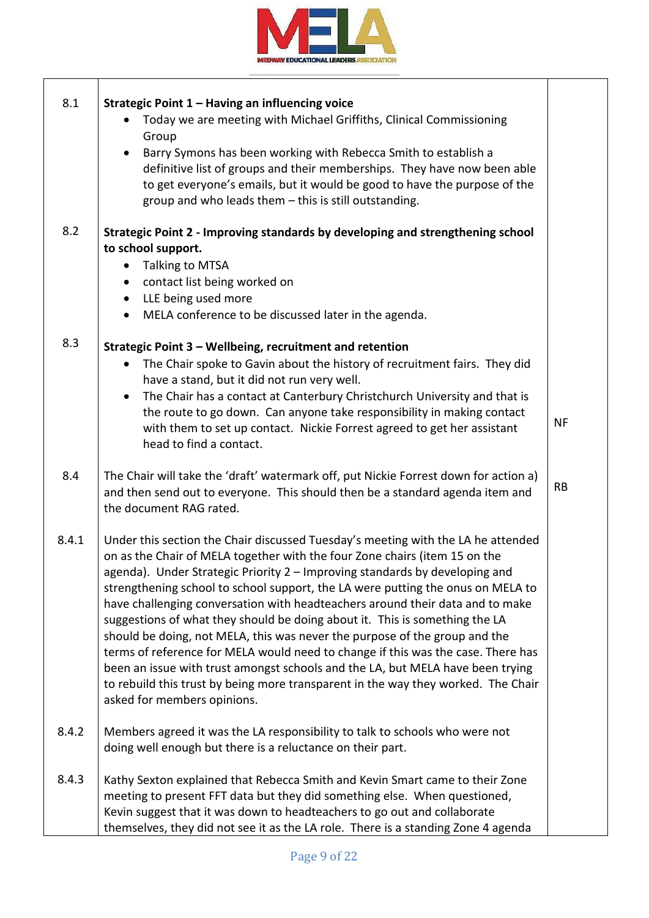

| 8.1   | Strategic Point 1 - Having an influencing voice<br>Today we are meeting with Michael Griffiths, Clinical Commissioning                |           |
|-------|---------------------------------------------------------------------------------------------------------------------------------------|-----------|
|       | Group<br>Barry Symons has been working with Rebecca Smith to establish a<br>$\bullet$                                                 |           |
|       | definitive list of groups and their memberships. They have now been able                                                              |           |
|       | to get everyone's emails, but it would be good to have the purpose of the                                                             |           |
|       | group and who leads them - this is still outstanding.                                                                                 |           |
| 8.2   | Strategic Point 2 - Improving standards by developing and strengthening school                                                        |           |
|       | to school support.                                                                                                                    |           |
|       | Talking to MTSA<br>$\bullet$                                                                                                          |           |
|       | contact list being worked on<br>$\bullet$                                                                                             |           |
|       | LLE being used more<br>$\bullet$                                                                                                      |           |
|       | MELA conference to be discussed later in the agenda.<br>$\bullet$                                                                     |           |
| 8.3   | Strategic Point 3 - Wellbeing, recruitment and retention                                                                              |           |
|       | The Chair spoke to Gavin about the history of recruitment fairs. They did<br>$\bullet$<br>have a stand, but it did not run very well. |           |
|       | The Chair has a contact at Canterbury Christchurch University and that is                                                             |           |
|       | the route to go down. Can anyone take responsibility in making contact                                                                |           |
|       | with them to set up contact. Nickie Forrest agreed to get her assistant                                                               | NF        |
|       | head to find a contact.                                                                                                               |           |
|       |                                                                                                                                       |           |
| 8.4   | The Chair will take the 'draft' watermark off, put Nickie Forrest down for action a)                                                  |           |
|       | and then send out to everyone. This should then be a standard agenda item and                                                         | <b>RB</b> |
|       | the document RAG rated.                                                                                                               |           |
| 8.4.1 | Under this section the Chair discussed Tuesday's meeting with the LA he attended                                                      |           |
|       | on as the Chair of MELA together with the four Zone chairs (item 15 on the                                                            |           |
|       | agenda). Under Strategic Priority 2 - Improving standards by developing and                                                           |           |
|       | strengthening school to school support, the LA were putting the onus on MELA to                                                       |           |
|       | have challenging conversation with headteachers around their data and to make                                                         |           |
|       | suggestions of what they should be doing about it. This is something the LA                                                           |           |
|       | should be doing, not MELA, this was never the purpose of the group and the                                                            |           |
|       | terms of reference for MELA would need to change if this was the case. There has                                                      |           |
|       | been an issue with trust amongst schools and the LA, but MELA have been trying                                                        |           |
|       | to rebuild this trust by being more transparent in the way they worked. The Chair                                                     |           |
|       | asked for members opinions.                                                                                                           |           |
| 8.4.2 | Members agreed it was the LA responsibility to talk to schools who were not                                                           |           |
|       | doing well enough but there is a reluctance on their part.                                                                            |           |
| 8.4.3 | Kathy Sexton explained that Rebecca Smith and Kevin Smart came to their Zone                                                          |           |
|       | meeting to present FFT data but they did something else. When questioned,                                                             |           |
|       | Kevin suggest that it was down to headteachers to go out and collaborate                                                              |           |
|       | themselves, they did not see it as the LA role. There is a standing Zone 4 agenda                                                     |           |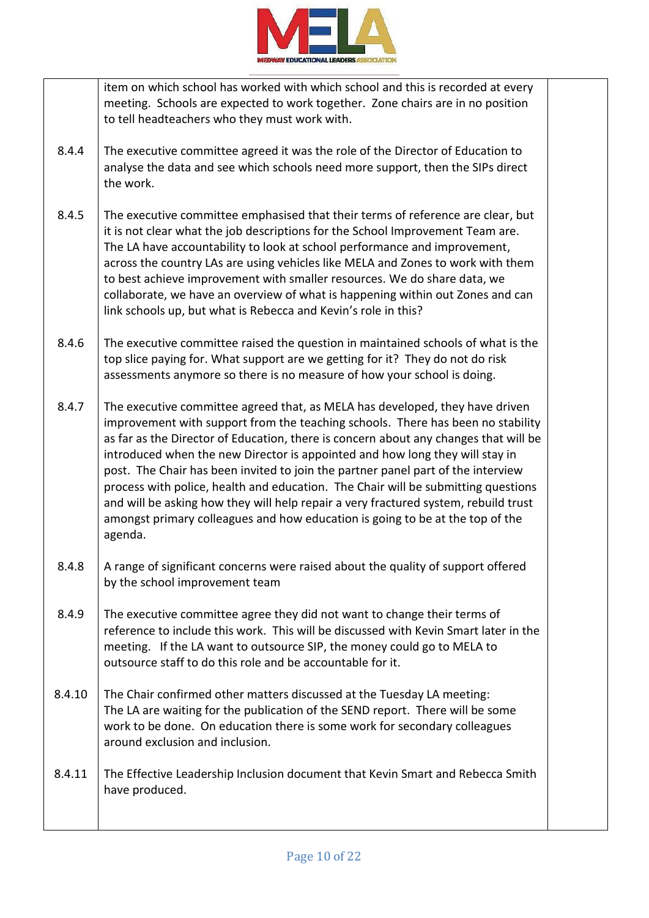

item on which school has worked with which school and this is recorded at every meeting. Schools are expected to work together. Zone chairs are in no position to tell headteachers who they must work with.

- 8.4.4 The executive committee agreed it was the role of the Director of Education to analyse the data and see which schools need more support, then the SIPs direct the work.
- 8.4.5 The executive committee emphasised that their terms of reference are clear, but it is not clear what the job descriptions for the School Improvement Team are. The LA have accountability to look at school performance and improvement, across the country LAs are using vehicles like MELA and Zones to work with them to best achieve improvement with smaller resources. We do share data, we collaborate, we have an overview of what is happening within out Zones and can link schools up, but what is Rebecca and Kevin's role in this?
- 8.4.6 The executive committee raised the question in maintained schools of what is the top slice paying for. What support are we getting for it? They do not do risk assessments anymore so there is no measure of how your school is doing.
- 8.4.7 The executive committee agreed that, as MELA has developed, they have driven improvement with support from the teaching schools. There has been no stability as far as the Director of Education, there is concern about any changes that will be introduced when the new Director is appointed and how long they will stay in post. The Chair has been invited to join the partner panel part of the interview process with police, health and education. The Chair will be submitting questions and will be asking how they will help repair a very fractured system, rebuild trust amongst primary colleagues and how education is going to be at the top of the agenda.
- 8.4.8 A range of significant concerns were raised about the quality of support offered by the school improvement team
- 8.4.9 The executive committee agree they did not want to change their terms of reference to include this work. This will be discussed with Kevin Smart later in the meeting. If the LA want to outsource SIP, the money could go to MELA to outsource staff to do this role and be accountable for it.
- 8.4.10 The Chair confirmed other matters discussed at the Tuesday LA meeting: The LA are waiting for the publication of the SEND report. There will be some work to be done. On education there is some work for secondary colleagues around exclusion and inclusion.
- 8.4.11 The Effective Leadership Inclusion document that Kevin Smart and Rebecca Smith have produced.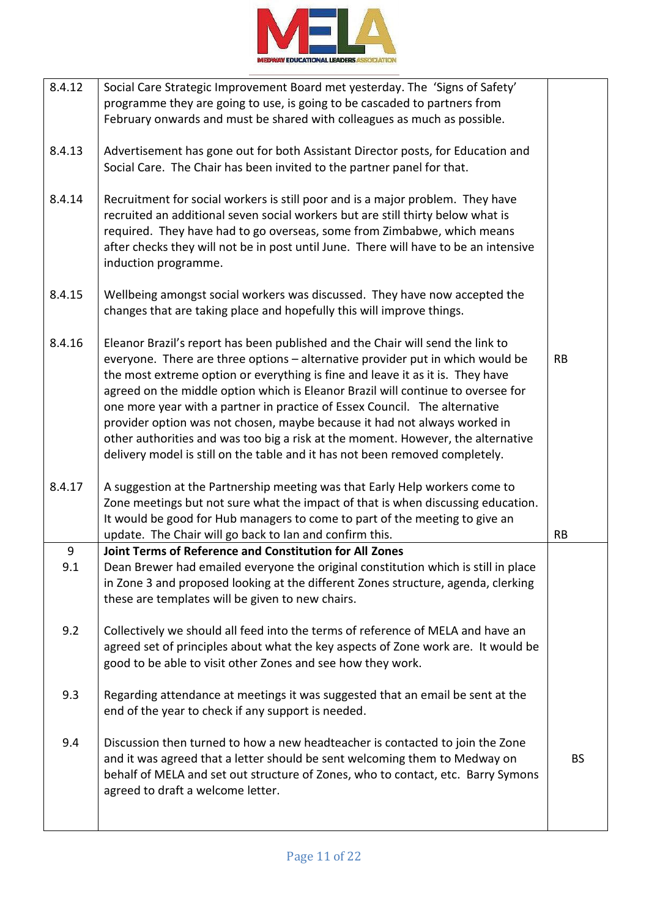

| 8.4.12 | Social Care Strategic Improvement Board met yesterday. The 'Signs of Safety'<br>programme they are going to use, is going to be cascaded to partners from<br>February onwards and must be shared with colleagues as much as possible.                                                                                                                                                                                                                                                                                                                                                                                                                                 |           |
|--------|-----------------------------------------------------------------------------------------------------------------------------------------------------------------------------------------------------------------------------------------------------------------------------------------------------------------------------------------------------------------------------------------------------------------------------------------------------------------------------------------------------------------------------------------------------------------------------------------------------------------------------------------------------------------------|-----------|
| 8.4.13 | Advertisement has gone out for both Assistant Director posts, for Education and<br>Social Care. The Chair has been invited to the partner panel for that.                                                                                                                                                                                                                                                                                                                                                                                                                                                                                                             |           |
| 8.4.14 | Recruitment for social workers is still poor and is a major problem. They have<br>recruited an additional seven social workers but are still thirty below what is<br>required. They have had to go overseas, some from Zimbabwe, which means<br>after checks they will not be in post until June. There will have to be an intensive<br>induction programme.                                                                                                                                                                                                                                                                                                          |           |
| 8.4.15 | Wellbeing amongst social workers was discussed. They have now accepted the<br>changes that are taking place and hopefully this will improve things.                                                                                                                                                                                                                                                                                                                                                                                                                                                                                                                   |           |
| 8.4.16 | Eleanor Brazil's report has been published and the Chair will send the link to<br>everyone. There are three options - alternative provider put in which would be<br>the most extreme option or everything is fine and leave it as it is. They have<br>agreed on the middle option which is Eleanor Brazil will continue to oversee for<br>one more year with a partner in practice of Essex Council. The alternative<br>provider option was not chosen, maybe because it had not always worked in<br>other authorities and was too big a risk at the moment. However, the alternative<br>delivery model is still on the table and it has not been removed completely. | <b>RB</b> |
| 8.4.17 | A suggestion at the Partnership meeting was that Early Help workers come to<br>Zone meetings but not sure what the impact of that is when discussing education.<br>It would be good for Hub managers to come to part of the meeting to give an<br>update. The Chair will go back to lan and confirm this.                                                                                                                                                                                                                                                                                                                                                             | <b>RB</b> |
| 9      | Joint Terms of Reference and Constitution for All Zones                                                                                                                                                                                                                                                                                                                                                                                                                                                                                                                                                                                                               |           |
| 9.1    | Dean Brewer had emailed everyone the original constitution which is still in place<br>in Zone 3 and proposed looking at the different Zones structure, agenda, clerking<br>these are templates will be given to new chairs.                                                                                                                                                                                                                                                                                                                                                                                                                                           |           |
| 9.2    | Collectively we should all feed into the terms of reference of MELA and have an<br>agreed set of principles about what the key aspects of Zone work are. It would be<br>good to be able to visit other Zones and see how they work.                                                                                                                                                                                                                                                                                                                                                                                                                                   |           |
| 9.3    | Regarding attendance at meetings it was suggested that an email be sent at the<br>end of the year to check if any support is needed.                                                                                                                                                                                                                                                                                                                                                                                                                                                                                                                                  |           |
| 9.4    | Discussion then turned to how a new headteacher is contacted to join the Zone<br>and it was agreed that a letter should be sent welcoming them to Medway on<br>behalf of MELA and set out structure of Zones, who to contact, etc. Barry Symons<br>agreed to draft a welcome letter.                                                                                                                                                                                                                                                                                                                                                                                  | BS.       |
|        |                                                                                                                                                                                                                                                                                                                                                                                                                                                                                                                                                                                                                                                                       |           |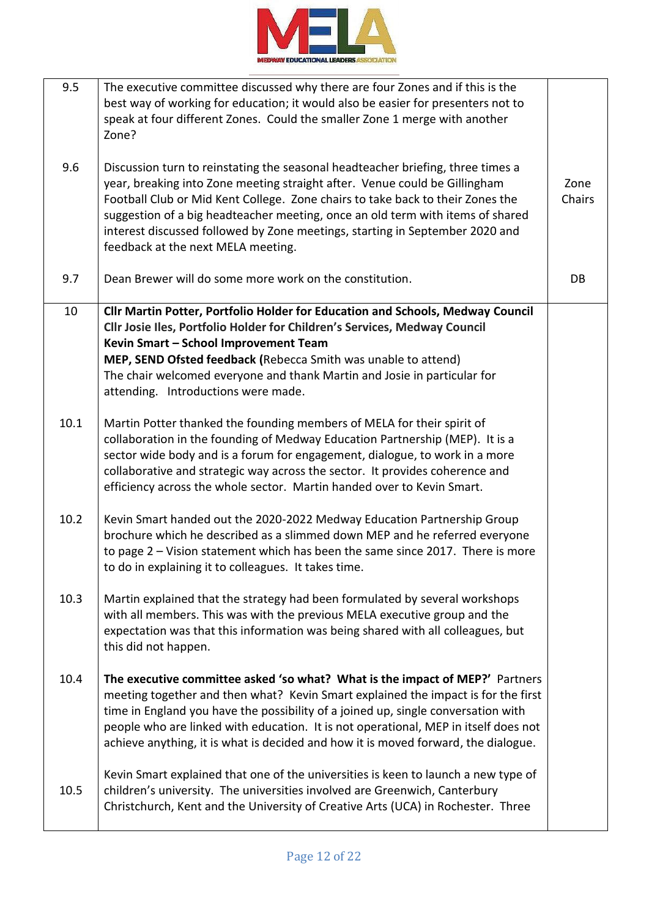

| 9.5  | The executive committee discussed why there are four Zones and if this is the<br>best way of working for education; it would also be easier for presenters not to<br>speak at four different Zones. Could the smaller Zone 1 merge with another<br>Zone?                                                                                                                                                                                                |                |
|------|---------------------------------------------------------------------------------------------------------------------------------------------------------------------------------------------------------------------------------------------------------------------------------------------------------------------------------------------------------------------------------------------------------------------------------------------------------|----------------|
| 9.6  | Discussion turn to reinstating the seasonal headteacher briefing, three times a<br>year, breaking into Zone meeting straight after. Venue could be Gillingham<br>Football Club or Mid Kent College. Zone chairs to take back to their Zones the<br>suggestion of a big headteacher meeting, once an old term with items of shared<br>interest discussed followed by Zone meetings, starting in September 2020 and<br>feedback at the next MELA meeting. | Zone<br>Chairs |
| 9.7  | Dean Brewer will do some more work on the constitution.                                                                                                                                                                                                                                                                                                                                                                                                 | DB             |
| 10   | Cllr Martin Potter, Portfolio Holder for Education and Schools, Medway Council<br>Cllr Josie Iles, Portfolio Holder for Children's Services, Medway Council<br>Kevin Smart - School Improvement Team<br>MEP, SEND Ofsted feedback (Rebecca Smith was unable to attend)<br>The chair welcomed everyone and thank Martin and Josie in particular for<br>attending. Introductions were made.                                                               |                |
| 10.1 | Martin Potter thanked the founding members of MELA for their spirit of<br>collaboration in the founding of Medway Education Partnership (MEP). It is a<br>sector wide body and is a forum for engagement, dialogue, to work in a more<br>collaborative and strategic way across the sector. It provides coherence and<br>efficiency across the whole sector. Martin handed over to Kevin Smart.                                                         |                |
| 10.2 | Kevin Smart handed out the 2020-2022 Medway Education Partnership Group<br>brochure which he described as a slimmed down MEP and he referred everyone<br>to page 2 - Vision statement which has been the same since 2017. There is more<br>to do in explaining it to colleagues. It takes time.                                                                                                                                                         |                |
| 10.3 | Martin explained that the strategy had been formulated by several workshops<br>with all members. This was with the previous MELA executive group and the<br>expectation was that this information was being shared with all colleagues, but<br>this did not happen.                                                                                                                                                                                     |                |
| 10.4 | The executive committee asked 'so what? What is the impact of MEP?' Partners<br>meeting together and then what? Kevin Smart explained the impact is for the first<br>time in England you have the possibility of a joined up, single conversation with<br>people who are linked with education. It is not operational, MEP in itself does not<br>achieve anything, it is what is decided and how it is moved forward, the dialogue.                     |                |
| 10.5 | Kevin Smart explained that one of the universities is keen to launch a new type of<br>children's university. The universities involved are Greenwich, Canterbury<br>Christchurch, Kent and the University of Creative Arts (UCA) in Rochester. Three                                                                                                                                                                                                    |                |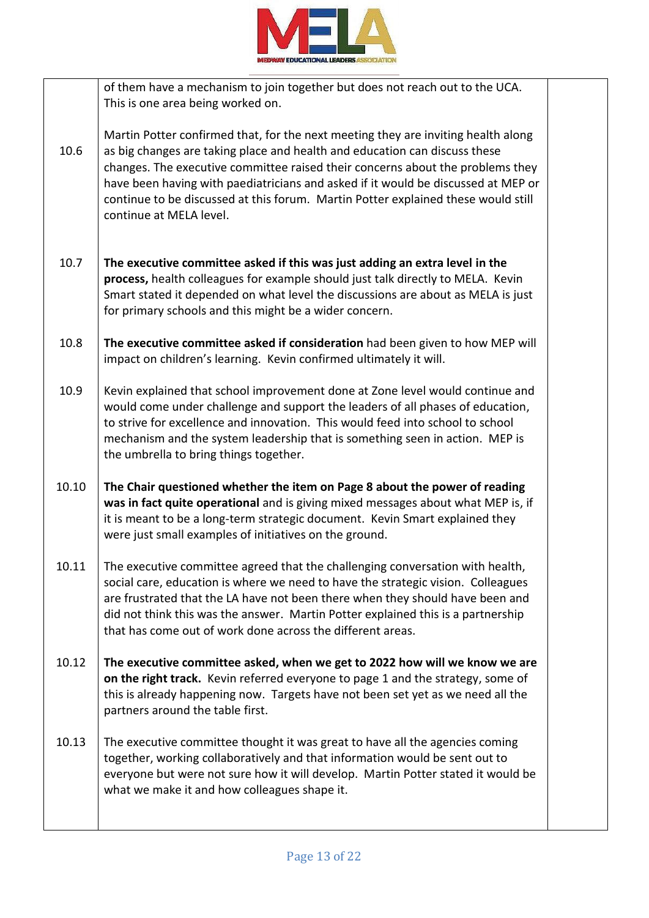

|       | of them have a mechanism to join together but does not reach out to the UCA.<br>This is one area being worked on.                                                                                                                                                                                                                                                                                                                                      |  |
|-------|--------------------------------------------------------------------------------------------------------------------------------------------------------------------------------------------------------------------------------------------------------------------------------------------------------------------------------------------------------------------------------------------------------------------------------------------------------|--|
| 10.6  | Martin Potter confirmed that, for the next meeting they are inviting health along<br>as big changes are taking place and health and education can discuss these<br>changes. The executive committee raised their concerns about the problems they<br>have been having with paediatricians and asked if it would be discussed at MEP or<br>continue to be discussed at this forum. Martin Potter explained these would still<br>continue at MELA level. |  |
| 10.7  | The executive committee asked if this was just adding an extra level in the<br>process, health colleagues for example should just talk directly to MELA. Kevin<br>Smart stated it depended on what level the discussions are about as MELA is just<br>for primary schools and this might be a wider concern.                                                                                                                                           |  |
| 10.8  | The executive committee asked if consideration had been given to how MEP will<br>impact on children's learning. Kevin confirmed ultimately it will.                                                                                                                                                                                                                                                                                                    |  |
| 10.9  | Kevin explained that school improvement done at Zone level would continue and<br>would come under challenge and support the leaders of all phases of education,<br>to strive for excellence and innovation. This would feed into school to school<br>mechanism and the system leadership that is something seen in action. MEP is<br>the umbrella to bring things together.                                                                            |  |
| 10.10 | The Chair questioned whether the item on Page 8 about the power of reading<br>was in fact quite operational and is giving mixed messages about what MEP is, if<br>it is meant to be a long-term strategic document. Kevin Smart explained they<br>were just small examples of initiatives on the ground.                                                                                                                                               |  |
| 10.11 | The executive committee agreed that the challenging conversation with health,<br>social care, education is where we need to have the strategic vision. Colleagues<br>are frustrated that the LA have not been there when they should have been and<br>did not think this was the answer. Martin Potter explained this is a partnership<br>that has come out of work done across the different areas.                                                   |  |
| 10.12 | The executive committee asked, when we get to 2022 how will we know we are<br>on the right track. Kevin referred everyone to page 1 and the strategy, some of<br>this is already happening now. Targets have not been set yet as we need all the<br>partners around the table first.                                                                                                                                                                   |  |
| 10.13 | The executive committee thought it was great to have all the agencies coming<br>together, working collaboratively and that information would be sent out to<br>everyone but were not sure how it will develop. Martin Potter stated it would be<br>what we make it and how colleagues shape it.                                                                                                                                                        |  |
|       |                                                                                                                                                                                                                                                                                                                                                                                                                                                        |  |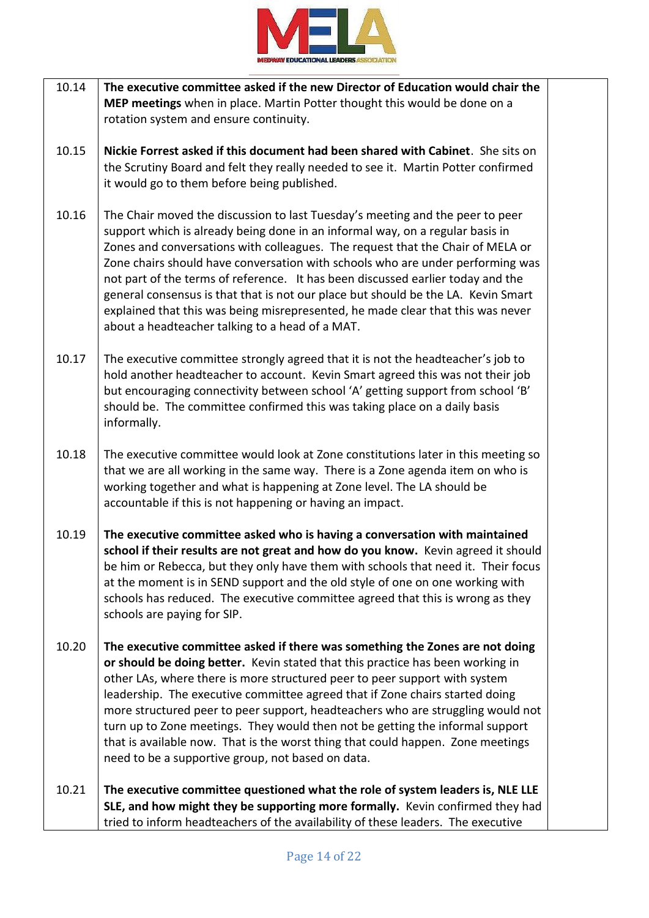

- 10.14 **The executive committee asked if the new Director of Education would chair the MEP meetings** when in place. Martin Potter thought this would be done on a rotation system and ensure continuity.
- 10.15 **Nickie Forrest asked if this document had been shared with Cabinet**. She sits on the Scrutiny Board and felt they really needed to see it. Martin Potter confirmed it would go to them before being published.
- 10.16 The Chair moved the discussion to last Tuesday's meeting and the peer to peer support which is already being done in an informal way, on a regular basis in Zones and conversations with colleagues. The request that the Chair of MELA or Zone chairs should have conversation with schools who are under performing was not part of the terms of reference. It has been discussed earlier today and the general consensus is that that is not our place but should be the LA. Kevin Smart explained that this was being misrepresented, he made clear that this was never about a headteacher talking to a head of a MAT.
- 10.17 The executive committee strongly agreed that it is not the headteacher's job to hold another headteacher to account. Kevin Smart agreed this was not their job but encouraging connectivity between school 'A' getting support from school 'B' should be. The committee confirmed this was taking place on a daily basis informally.
- 10.18 The executive committee would look at Zone constitutions later in this meeting so that we are all working in the same way. There is a Zone agenda item on who is working together and what is happening at Zone level. The LA should be accountable if this is not happening or having an impact.
- 10.19 **The executive committee asked who is having a conversation with maintained school if their results are not great and how do you know.** Kevin agreed it should be him or Rebecca, but they only have them with schools that need it. Their focus at the moment is in SEND support and the old style of one on one working with schools has reduced. The executive committee agreed that this is wrong as they schools are paying for SIP.
- 10.20 **The executive committee asked if there was something the Zones are not doing or should be doing better.** Kevin stated that this practice has been working in other LAs, where there is more structured peer to peer support with system leadership. The executive committee agreed that if Zone chairs started doing more structured peer to peer support, headteachers who are struggling would not turn up to Zone meetings. They would then not be getting the informal support that is available now. That is the worst thing that could happen. Zone meetings need to be a supportive group, not based on data.
- 10.21 **The executive committee questioned what the role of system leaders is, NLE LLE SLE, and how might they be supporting more formally.** Kevin confirmed they had tried to inform headteachers of the availability of these leaders. The executive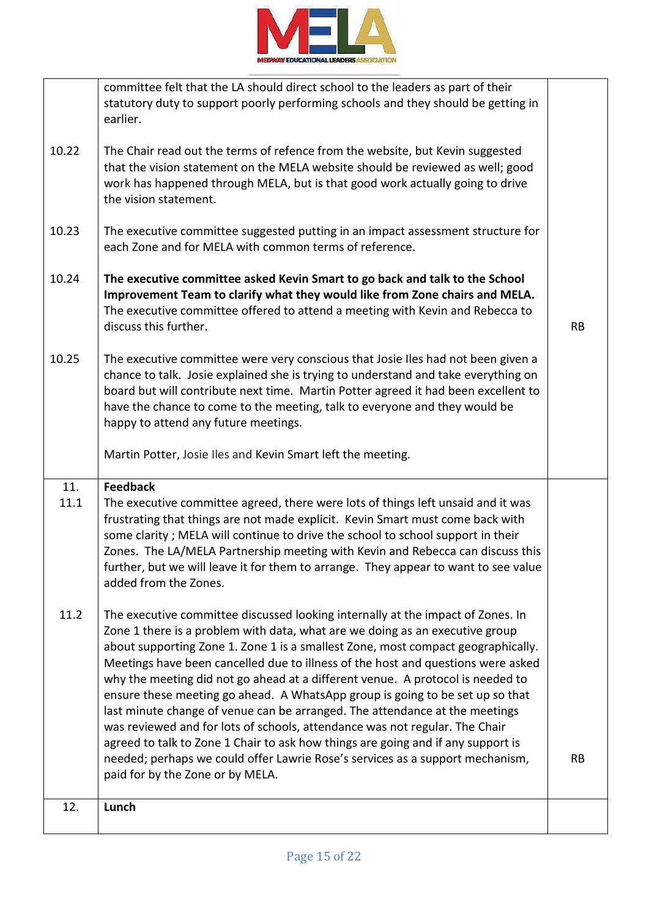

|             | committee felt that the LA should direct school to the leaders as part of their<br>statutory duty to support poorly performing schools and they should be getting in<br>earlier.                                                                                                                                                                                                                                                                                                                                                                                                                                                                                                                                                                                                                                                                                                  |           |
|-------------|-----------------------------------------------------------------------------------------------------------------------------------------------------------------------------------------------------------------------------------------------------------------------------------------------------------------------------------------------------------------------------------------------------------------------------------------------------------------------------------------------------------------------------------------------------------------------------------------------------------------------------------------------------------------------------------------------------------------------------------------------------------------------------------------------------------------------------------------------------------------------------------|-----------|
| 10.22       | The Chair read out the terms of refence from the website, but Kevin suggested<br>that the vision statement on the MELA website should be reviewed as well; good<br>work has happened through MELA, but is that good work actually going to drive<br>the vision statement.                                                                                                                                                                                                                                                                                                                                                                                                                                                                                                                                                                                                         |           |
| 10.23       | The executive committee suggested putting in an impact assessment structure for<br>each Zone and for MELA with common terms of reference.                                                                                                                                                                                                                                                                                                                                                                                                                                                                                                                                                                                                                                                                                                                                         |           |
| 10.24       | The executive committee asked Kevin Smart to go back and talk to the School<br>Improvement Team to clarify what they would like from Zone chairs and MELA.<br>The executive committee offered to attend a meeting with Kevin and Rebecca to<br>discuss this further.                                                                                                                                                                                                                                                                                                                                                                                                                                                                                                                                                                                                              | <b>RB</b> |
| 10.25       | The executive committee were very conscious that Josie Iles had not been given a<br>chance to talk. Josie explained she is trying to understand and take everything on<br>board but will contribute next time. Martin Potter agreed it had been excellent to<br>have the chance to come to the meeting, talk to everyone and they would be<br>happy to attend any future meetings.                                                                                                                                                                                                                                                                                                                                                                                                                                                                                                |           |
|             | Martin Potter, Josie Iles and Kevin Smart left the meeting.                                                                                                                                                                                                                                                                                                                                                                                                                                                                                                                                                                                                                                                                                                                                                                                                                       |           |
| 11.<br>11.1 | <b>Feedback</b><br>The executive committee agreed, there were lots of things left unsaid and it was<br>frustrating that things are not made explicit. Kevin Smart must come back with<br>some clarity; MELA will continue to drive the school to school support in their<br>Zones. The LA/MELA Partnership meeting with Kevin and Rebecca can discuss this<br>further, but we will leave it for them to arrange. They appear to want to see value<br>added from the Zones.                                                                                                                                                                                                                                                                                                                                                                                                        |           |
| 11.2        | The executive committee discussed looking internally at the impact of Zones. In<br>Zone 1 there is a problem with data, what are we doing as an executive group<br>about supporting Zone 1. Zone 1 is a smallest Zone, most compact geographically.<br>Meetings have been cancelled due to illness of the host and questions were asked<br>why the meeting did not go ahead at a different venue. A protocol is needed to<br>ensure these meeting go ahead. A WhatsApp group is going to be set up so that<br>last minute change of venue can be arranged. The attendance at the meetings<br>was reviewed and for lots of schools, attendance was not regular. The Chair<br>agreed to talk to Zone 1 Chair to ask how things are going and if any support is<br>needed; perhaps we could offer Lawrie Rose's services as a support mechanism,<br>paid for by the Zone or by MELA. | <b>RB</b> |
| 12.         | Lunch                                                                                                                                                                                                                                                                                                                                                                                                                                                                                                                                                                                                                                                                                                                                                                                                                                                                             |           |
|             |                                                                                                                                                                                                                                                                                                                                                                                                                                                                                                                                                                                                                                                                                                                                                                                                                                                                                   |           |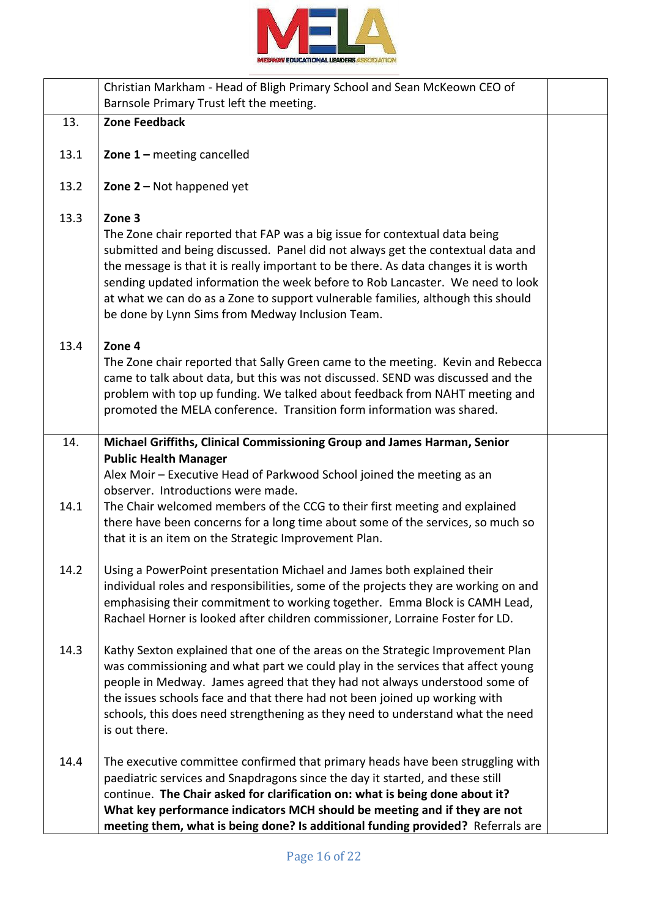

|      | Christian Markham - Head of Bligh Primary School and Sean McKeown CEO of<br>Barnsole Primary Trust left the meeting.                                                                                                                                                                                                                                                                                                                                                                    |  |
|------|-----------------------------------------------------------------------------------------------------------------------------------------------------------------------------------------------------------------------------------------------------------------------------------------------------------------------------------------------------------------------------------------------------------------------------------------------------------------------------------------|--|
| 13.  | <b>Zone Feedback</b>                                                                                                                                                                                                                                                                                                                                                                                                                                                                    |  |
| 13.1 | <b>Zone 1 - meeting cancelled</b>                                                                                                                                                                                                                                                                                                                                                                                                                                                       |  |
| 13.2 | Zone $2 -$ Not happened yet                                                                                                                                                                                                                                                                                                                                                                                                                                                             |  |
| 13.3 | Zone 3<br>The Zone chair reported that FAP was a big issue for contextual data being<br>submitted and being discussed. Panel did not always get the contextual data and<br>the message is that it is really important to be there. As data changes it is worth<br>sending updated information the week before to Rob Lancaster. We need to look<br>at what we can do as a Zone to support vulnerable families, although this should<br>be done by Lynn Sims from Medway Inclusion Team. |  |
| 13.4 | Zone 4<br>The Zone chair reported that Sally Green came to the meeting. Kevin and Rebecca<br>came to talk about data, but this was not discussed. SEND was discussed and the<br>problem with top up funding. We talked about feedback from NAHT meeting and<br>promoted the MELA conference. Transition form information was shared.                                                                                                                                                    |  |
| 14.  | Michael Griffiths, Clinical Commissioning Group and James Harman, Senior                                                                                                                                                                                                                                                                                                                                                                                                                |  |
|      | <b>Public Health Manager</b><br>Alex Moir - Executive Head of Parkwood School joined the meeting as an<br>observer. Introductions were made.                                                                                                                                                                                                                                                                                                                                            |  |
| 14.1 | The Chair welcomed members of the CCG to their first meeting and explained<br>there have been concerns for a long time about some of the services, so much so<br>that it is an item on the Strategic Improvement Plan.                                                                                                                                                                                                                                                                  |  |
| 14.2 | Using a PowerPoint presentation Michael and James both explained their<br>individual roles and responsibilities, some of the projects they are working on and<br>emphasising their commitment to working together. Emma Block is CAMH Lead,<br>Rachael Horner is looked after children commissioner, Lorraine Foster for LD.                                                                                                                                                            |  |
| 14.3 | Kathy Sexton explained that one of the areas on the Strategic Improvement Plan<br>was commissioning and what part we could play in the services that affect young<br>people in Medway. James agreed that they had not always understood some of<br>the issues schools face and that there had not been joined up working with<br>schools, this does need strengthening as they need to understand what the need<br>is out there.                                                        |  |
| 14.4 | The executive committee confirmed that primary heads have been struggling with<br>paediatric services and Snapdragons since the day it started, and these still<br>continue. The Chair asked for clarification on: what is being done about it?<br>What key performance indicators MCH should be meeting and if they are not<br>meeting them, what is being done? Is additional funding provided? Referrals are                                                                         |  |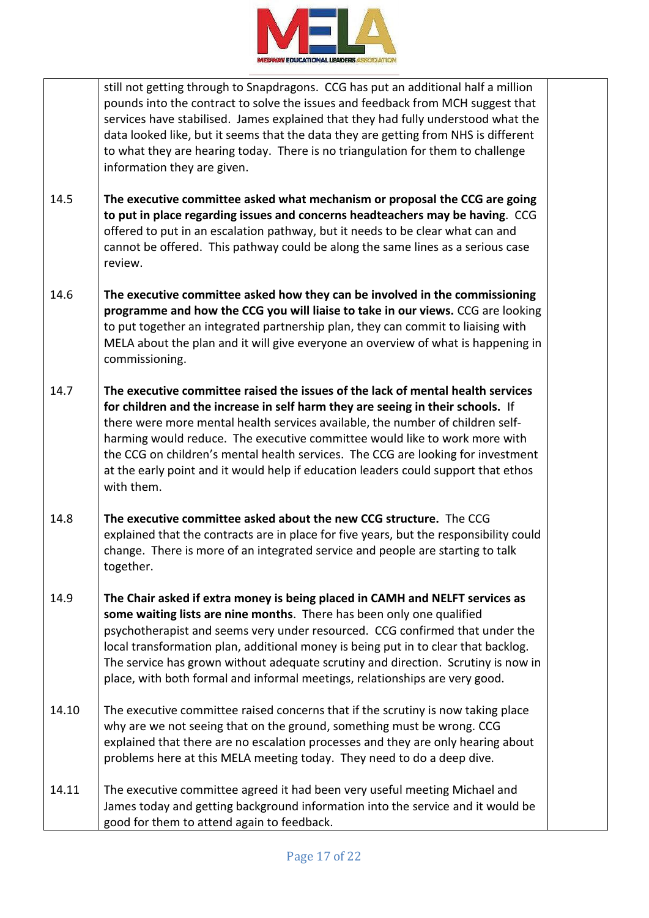

|       | still not getting through to Snapdragons. CCG has put an additional half a million<br>pounds into the contract to solve the issues and feedback from MCH suggest that<br>services have stabilised. James explained that they had fully understood what the<br>data looked like, but it seems that the data they are getting from NHS is different<br>to what they are hearing today. There is no triangulation for them to challenge<br>information they are given.                                                        |  |
|-------|----------------------------------------------------------------------------------------------------------------------------------------------------------------------------------------------------------------------------------------------------------------------------------------------------------------------------------------------------------------------------------------------------------------------------------------------------------------------------------------------------------------------------|--|
| 14.5  | The executive committee asked what mechanism or proposal the CCG are going<br>to put in place regarding issues and concerns headteachers may be having. CCG<br>offered to put in an escalation pathway, but it needs to be clear what can and<br>cannot be offered. This pathway could be along the same lines as a serious case<br>review.                                                                                                                                                                                |  |
| 14.6  | The executive committee asked how they can be involved in the commissioning<br>programme and how the CCG you will liaise to take in our views. CCG are looking<br>to put together an integrated partnership plan, they can commit to liaising with<br>MELA about the plan and it will give everyone an overview of what is happening in<br>commissioning.                                                                                                                                                                  |  |
| 14.7  | The executive committee raised the issues of the lack of mental health services<br>for children and the increase in self harm they are seeing in their schools. If<br>there were more mental health services available, the number of children self-<br>harming would reduce. The executive committee would like to work more with<br>the CCG on children's mental health services. The CCG are looking for investment<br>at the early point and it would help if education leaders could support that ethos<br>with them. |  |
| 14.8  | The executive committee asked about the new CCG structure. The CCG<br>explained that the contracts are in place for five years, but the responsibility could<br>change. There is more of an integrated service and people are starting to talk<br>together.                                                                                                                                                                                                                                                                |  |
| 14.9  | The Chair asked if extra money is being placed in CAMH and NELFT services as<br>some waiting lists are nine months. There has been only one qualified<br>psychotherapist and seems very under resourced. CCG confirmed that under the<br>local transformation plan, additional money is being put in to clear that backlog.<br>The service has grown without adequate scrutiny and direction. Scrutiny is now in<br>place, with both formal and informal meetings, relationships are very good.                            |  |
| 14.10 | The executive committee raised concerns that if the scrutiny is now taking place<br>why are we not seeing that on the ground, something must be wrong. CCG<br>explained that there are no escalation processes and they are only hearing about<br>problems here at this MELA meeting today. They need to do a deep dive.                                                                                                                                                                                                   |  |
| 14.11 | The executive committee agreed it had been very useful meeting Michael and<br>James today and getting background information into the service and it would be<br>good for them to attend again to feedback.                                                                                                                                                                                                                                                                                                                |  |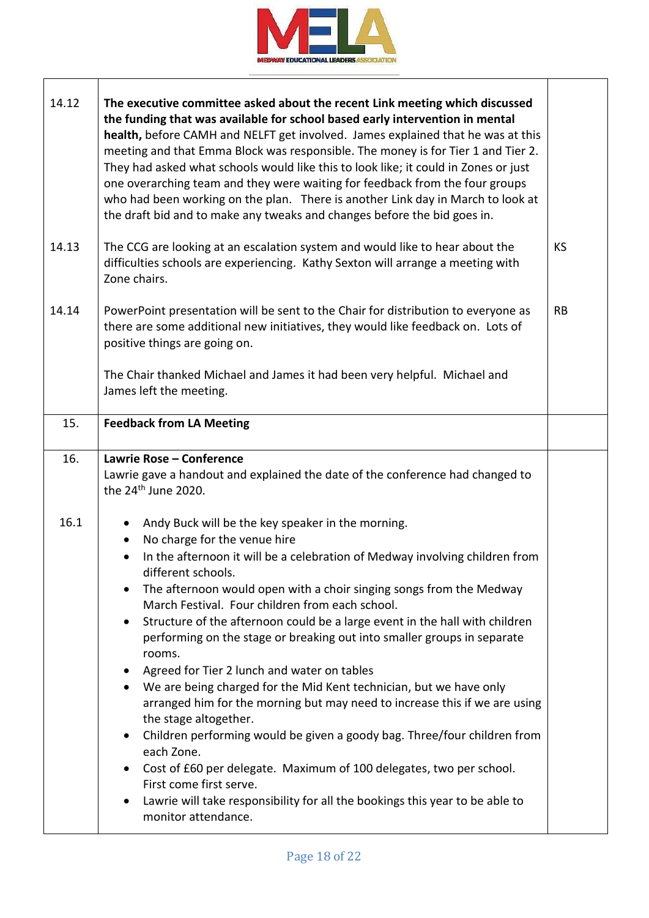

| 14.12 | The executive committee asked about the recent Link meeting which discussed<br>the funding that was available for school based early intervention in mental<br>health, before CAMH and NELFT get involved. James explained that he was at this<br>meeting and that Emma Block was responsible. The money is for Tier 1 and Tier 2.<br>They had asked what schools would like this to look like; it could in Zones or just<br>one overarching team and they were waiting for feedback from the four groups<br>who had been working on the plan. There is another Link day in March to look at<br>the draft bid and to make any tweaks and changes before the bid goes in.                                                                                                                                                                                                                                                                                                                                                                                                |           |
|-------|-------------------------------------------------------------------------------------------------------------------------------------------------------------------------------------------------------------------------------------------------------------------------------------------------------------------------------------------------------------------------------------------------------------------------------------------------------------------------------------------------------------------------------------------------------------------------------------------------------------------------------------------------------------------------------------------------------------------------------------------------------------------------------------------------------------------------------------------------------------------------------------------------------------------------------------------------------------------------------------------------------------------------------------------------------------------------|-----------|
| 14.13 | The CCG are looking at an escalation system and would like to hear about the<br>difficulties schools are experiencing. Kathy Sexton will arrange a meeting with<br>Zone chairs.                                                                                                                                                                                                                                                                                                                                                                                                                                                                                                                                                                                                                                                                                                                                                                                                                                                                                         | KS        |
| 14.14 | PowerPoint presentation will be sent to the Chair for distribution to everyone as<br>there are some additional new initiatives, they would like feedback on. Lots of<br>positive things are going on.<br>The Chair thanked Michael and James it had been very helpful. Michael and<br>James left the meeting.                                                                                                                                                                                                                                                                                                                                                                                                                                                                                                                                                                                                                                                                                                                                                           | <b>RB</b> |
| 15.   | <b>Feedback from LA Meeting</b>                                                                                                                                                                                                                                                                                                                                                                                                                                                                                                                                                                                                                                                                                                                                                                                                                                                                                                                                                                                                                                         |           |
| 16.   | Lawrie Rose - Conference<br>Lawrie gave a handout and explained the date of the conference had changed to<br>the 24 <sup>th</sup> June 2020.                                                                                                                                                                                                                                                                                                                                                                                                                                                                                                                                                                                                                                                                                                                                                                                                                                                                                                                            |           |
| 16.1  | Andy Buck will be the key speaker in the morning.<br>No charge for the venue hire<br>$\bullet$<br>In the afternoon it will be a celebration of Medway involving children from<br>different schools.<br>The afternoon would open with a choir singing songs from the Medway<br>$\bullet$<br>March Festival. Four children from each school.<br>Structure of the afternoon could be a large event in the hall with children<br>$\bullet$<br>performing on the stage or breaking out into smaller groups in separate<br>rooms.<br>Agreed for Tier 2 lunch and water on tables<br>We are being charged for the Mid Kent technician, but we have only<br>$\bullet$<br>arranged him for the morning but may need to increase this if we are using<br>the stage altogether.<br>Children performing would be given a goody bag. Three/four children from<br>each Zone.<br>Cost of £60 per delegate. Maximum of 100 delegates, two per school.<br>First come first serve.<br>Lawrie will take responsibility for all the bookings this year to be able to<br>monitor attendance. |           |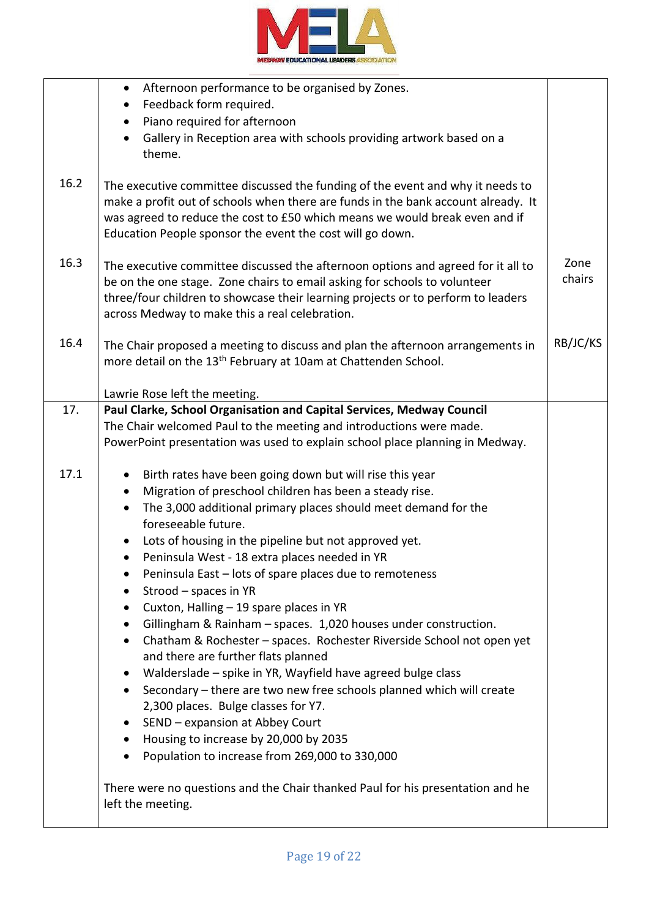

|      | Afternoon performance to be organised by Zones.<br>$\bullet$                                                                                                                                                                                                                                                    |                |
|------|-----------------------------------------------------------------------------------------------------------------------------------------------------------------------------------------------------------------------------------------------------------------------------------------------------------------|----------------|
|      | Feedback form required.<br>$\bullet$                                                                                                                                                                                                                                                                            |                |
|      | Piano required for afternoon                                                                                                                                                                                                                                                                                    |                |
|      | Gallery in Reception area with schools providing artwork based on a                                                                                                                                                                                                                                             |                |
|      | theme.                                                                                                                                                                                                                                                                                                          |                |
| 16.2 | The executive committee discussed the funding of the event and why it needs to<br>make a profit out of schools when there are funds in the bank account already. It<br>was agreed to reduce the cost to £50 which means we would break even and if<br>Education People sponsor the event the cost will go down. |                |
| 16.3 | The executive committee discussed the afternoon options and agreed for it all to<br>be on the one stage. Zone chairs to email asking for schools to volunteer<br>three/four children to showcase their learning projects or to perform to leaders<br>across Medway to make this a real celebration.             | Zone<br>chairs |
| 16.4 | The Chair proposed a meeting to discuss and plan the afternoon arrangements in<br>more detail on the 13 <sup>th</sup> February at 10am at Chattenden School.                                                                                                                                                    | RB/JC/KS       |
|      | Lawrie Rose left the meeting.                                                                                                                                                                                                                                                                                   |                |
| 17.  | Paul Clarke, School Organisation and Capital Services, Medway Council                                                                                                                                                                                                                                           |                |
|      | The Chair welcomed Paul to the meeting and introductions were made.                                                                                                                                                                                                                                             |                |
|      | PowerPoint presentation was used to explain school place planning in Medway.                                                                                                                                                                                                                                    |                |
|      |                                                                                                                                                                                                                                                                                                                 |                |
| 17.1 | Birth rates have been going down but will rise this year                                                                                                                                                                                                                                                        |                |
|      | Migration of preschool children has been a steady rise.<br>٠                                                                                                                                                                                                                                                    |                |
|      | The 3,000 additional primary places should meet demand for the<br>٠<br>foreseeable future.                                                                                                                                                                                                                      |                |
|      | Lots of housing in the pipeline but not approved yet.                                                                                                                                                                                                                                                           |                |
|      | Peninsula West - 18 extra places needed in YR                                                                                                                                                                                                                                                                   |                |
|      | Peninsula East - lots of spare places due to remoteness<br>٠                                                                                                                                                                                                                                                    |                |
|      | Strood - spaces in YR<br>٠                                                                                                                                                                                                                                                                                      |                |
|      | Cuxton, Halling - 19 spare places in YR<br>$\bullet$                                                                                                                                                                                                                                                            |                |
|      | Gillingham & Rainham - spaces. 1,020 houses under construction.<br>٠                                                                                                                                                                                                                                            |                |
|      | Chatham & Rochester - spaces. Rochester Riverside School not open yet<br>$\bullet$                                                                                                                                                                                                                              |                |
|      | and there are further flats planned                                                                                                                                                                                                                                                                             |                |
|      | Walderslade - spike in YR, Wayfield have agreed bulge class<br>$\bullet$                                                                                                                                                                                                                                        |                |
|      | Secondary - there are two new free schools planned which will create<br>$\bullet$                                                                                                                                                                                                                               |                |
|      | 2,300 places. Bulge classes for Y7.                                                                                                                                                                                                                                                                             |                |
|      | SEND - expansion at Abbey Court<br>$\bullet$                                                                                                                                                                                                                                                                    |                |
|      | Housing to increase by 20,000 by 2035<br>$\bullet$                                                                                                                                                                                                                                                              |                |
|      | Population to increase from 269,000 to 330,000                                                                                                                                                                                                                                                                  |                |
|      | There were no questions and the Chair thanked Paul for his presentation and he<br>left the meeting.                                                                                                                                                                                                             |                |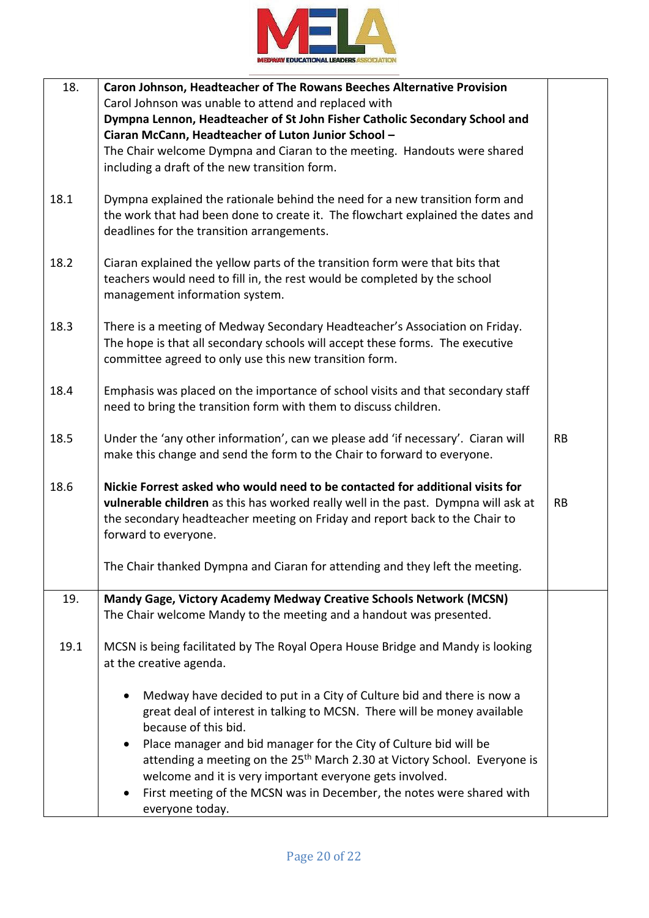

| 18.  | Caron Johnson, Headteacher of The Rowans Beeches Alternative Provision<br>Carol Johnson was unable to attend and replaced with<br>Dympna Lennon, Headteacher of St John Fisher Catholic Secondary School and<br>Ciaran McCann, Headteacher of Luton Junior School -<br>The Chair welcome Dympna and Ciaran to the meeting. Handouts were shared<br>including a draft of the new transition form.                                                                                                              |           |
|------|---------------------------------------------------------------------------------------------------------------------------------------------------------------------------------------------------------------------------------------------------------------------------------------------------------------------------------------------------------------------------------------------------------------------------------------------------------------------------------------------------------------|-----------|
| 18.1 | Dympna explained the rationale behind the need for a new transition form and<br>the work that had been done to create it. The flowchart explained the dates and<br>deadlines for the transition arrangements.                                                                                                                                                                                                                                                                                                 |           |
| 18.2 | Ciaran explained the yellow parts of the transition form were that bits that<br>teachers would need to fill in, the rest would be completed by the school<br>management information system.                                                                                                                                                                                                                                                                                                                   |           |
| 18.3 | There is a meeting of Medway Secondary Headteacher's Association on Friday.<br>The hope is that all secondary schools will accept these forms. The executive<br>committee agreed to only use this new transition form.                                                                                                                                                                                                                                                                                        |           |
| 18.4 | Emphasis was placed on the importance of school visits and that secondary staff<br>need to bring the transition form with them to discuss children.                                                                                                                                                                                                                                                                                                                                                           |           |
| 18.5 | Under the 'any other information', can we please add 'if necessary'. Ciaran will<br>make this change and send the form to the Chair to forward to everyone.                                                                                                                                                                                                                                                                                                                                                   | <b>RB</b> |
| 18.6 | Nickie Forrest asked who would need to be contacted for additional visits for<br>vulnerable children as this has worked really well in the past. Dympna will ask at<br>the secondary headteacher meeting on Friday and report back to the Chair to<br>forward to everyone.                                                                                                                                                                                                                                    | <b>RB</b> |
|      | The Chair thanked Dympna and Ciaran for attending and they left the meeting.                                                                                                                                                                                                                                                                                                                                                                                                                                  |           |
| 19.  | Mandy Gage, Victory Academy Medway Creative Schools Network (MCSN)<br>The Chair welcome Mandy to the meeting and a handout was presented.                                                                                                                                                                                                                                                                                                                                                                     |           |
| 19.1 | MCSN is being facilitated by The Royal Opera House Bridge and Mandy is looking<br>at the creative agenda.                                                                                                                                                                                                                                                                                                                                                                                                     |           |
|      | Medway have decided to put in a City of Culture bid and there is now a<br>$\bullet$<br>great deal of interest in talking to MCSN. There will be money available<br>because of this bid.<br>Place manager and bid manager for the City of Culture bid will be<br>attending a meeting on the 25 <sup>th</sup> March 2.30 at Victory School. Everyone is<br>welcome and it is very important everyone gets involved.<br>First meeting of the MCSN was in December, the notes were shared with<br>everyone today. |           |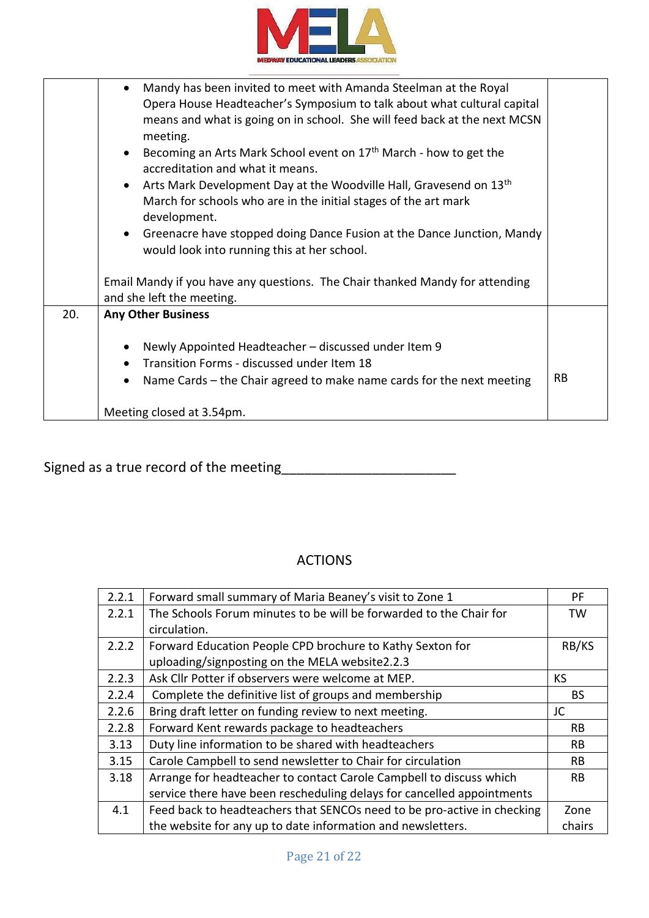

|     | $\bullet$                                                                                                                                                                                                                                                                                                                                                                                                                                                                                                                                                                                                                                     |           |
|-----|-----------------------------------------------------------------------------------------------------------------------------------------------------------------------------------------------------------------------------------------------------------------------------------------------------------------------------------------------------------------------------------------------------------------------------------------------------------------------------------------------------------------------------------------------------------------------------------------------------------------------------------------------|-----------|
|     | Mandy has been invited to meet with Amanda Steelman at the Royal<br>Opera House Headteacher's Symposium to talk about what cultural capital<br>means and what is going on in school. She will feed back at the next MCSN<br>meeting.<br>Becoming an Arts Mark School event on 17 <sup>th</sup> March - how to get the<br>accreditation and what it means.<br>Arts Mark Development Day at the Woodville Hall, Gravesend on 13th<br>March for schools who are in the initial stages of the art mark<br>development.<br>• Greenacre have stopped doing Dance Fusion at the Dance Junction, Mandy<br>would look into running this at her school. |           |
|     |                                                                                                                                                                                                                                                                                                                                                                                                                                                                                                                                                                                                                                               |           |
|     | and she left the meeting.                                                                                                                                                                                                                                                                                                                                                                                                                                                                                                                                                                                                                     |           |
| 20. | <b>Any Other Business</b>                                                                                                                                                                                                                                                                                                                                                                                                                                                                                                                                                                                                                     |           |
|     | Newly Appointed Headteacher - discussed under Item 9<br>Transition Forms - discussed under Item 18<br>Name Cards – the Chair agreed to make name cards for the next meeting<br>Meeting closed at 3.54pm.                                                                                                                                                                                                                                                                                                                                                                                                                                      | <b>RB</b> |
|     | Email Mandy if you have any questions. The Chair thanked Mandy for attending                                                                                                                                                                                                                                                                                                                                                                                                                                                                                                                                                                  |           |

Signed as a true record of the meeting\_\_\_\_\_\_\_\_\_\_\_\_\_\_\_\_\_\_\_\_\_\_\_

## ACTIONS

| 2.2.1 | Forward small summary of Maria Beaney's visit to Zone 1                 | РF        |
|-------|-------------------------------------------------------------------------|-----------|
| 2.2.1 | The Schools Forum minutes to be will be forwarded to the Chair for      | TW        |
|       | circulation.                                                            |           |
| 2.2.2 | Forward Education People CPD brochure to Kathy Sexton for               | RB/KS     |
|       | uploading/signposting on the MELA website2.2.3                          |           |
| 2.2.3 | Ask Cllr Potter if observers were welcome at MEP.                       | <b>KS</b> |
| 2.2.4 | Complete the definitive list of groups and membership                   | BS.       |
| 2.2.6 | Bring draft letter on funding review to next meeting.                   | JC        |
| 2.2.8 | Forward Kent rewards package to headteachers                            | RB.       |
| 3.13  | Duty line information to be shared with headteachers                    | <b>RB</b> |
| 3.15  | Carole Campbell to send newsletter to Chair for circulation             | <b>RB</b> |
| 3.18  | Arrange for headteacher to contact Carole Campbell to discuss which     | RB.       |
|       | service there have been rescheduling delays for cancelled appointments  |           |
| 4.1   | Feed back to headteachers that SENCOs need to be pro-active in checking | Zone      |
|       | the website for any up to date information and newsletters.             | chairs    |